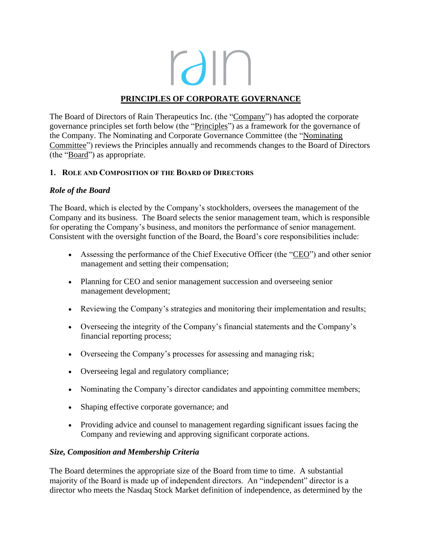rain

# **PRINCIPLES OF CORPORATE GOVERNANCE**

The Board of Directors of Rain Therapeutics Inc. (the "Company") has adopted the corporate governance principles set forth below (the "Principles") as a framework for the governance of the Company. The Nominating and Corporate Governance Committee (the "Nominating Committee") reviews the Principles annually and recommends changes to the Board of Directors (the "Board") as appropriate.

### **1. ROLE AND COMPOSITION OF THE BOARD OF DIRECTORS**

### *Role of the Board*

The Board, which is elected by the Company's stockholders, oversees the management of the Company and its business. The Board selects the senior management team, which is responsible for operating the Company's business, and monitors the performance of senior management. Consistent with the oversight function of the Board, the Board's core responsibilities include:

- Assessing the performance of the Chief Executive Officer (the "CEO") and other senior management and setting their compensation;
- Planning for CEO and senior management succession and overseeing senior management development;
- Reviewing the Company's strategies and monitoring their implementation and results;
- Overseeing the integrity of the Company's financial statements and the Company's financial reporting process;
- Overseeing the Company's processes for assessing and managing risk;
- Overseeing legal and regulatory compliance;
- Nominating the Company's director candidates and appointing committee members;
- Shaping effective corporate governance; and
- Providing advice and counsel to management regarding significant issues facing the Company and reviewing and approving significant corporate actions.

### *Size, Composition and Membership Criteria*

The Board determines the appropriate size of the Board from time to time. A substantial majority of the Board is made up of independent directors. An "independent" director is a director who meets the Nasdaq Stock Market definition of independence, as determined by the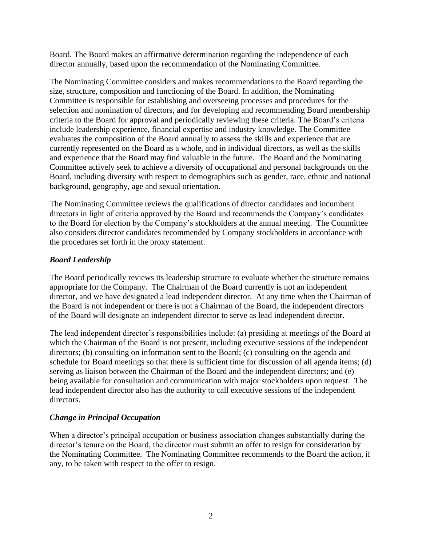Board. The Board makes an affirmative determination regarding the independence of each director annually, based upon the recommendation of the Nominating Committee.

The Nominating Committee considers and makes recommendations to the Board regarding the size, structure, composition and functioning of the Board. In addition, the Nominating Committee is responsible for establishing and overseeing processes and procedures for the selection and nomination of directors, and for developing and recommending Board membership criteria to the Board for approval and periodically reviewing these criteria. The Board's criteria include leadership experience, financial expertise and industry knowledge. The Committee evaluates the composition of the Board annually to assess the skills and experience that are currently represented on the Board as a whole, and in individual directors, as well as the skills and experience that the Board may find valuable in the future. The Board and the Nominating Committee actively seek to achieve a diversity of occupational and personal backgrounds on the Board, including diversity with respect to demographics such as gender, race, ethnic and national background, geography, age and sexual orientation.

The Nominating Committee reviews the qualifications of director candidates and incumbent directors in light of criteria approved by the Board and recommends the Company's candidates to the Board for election by the Company's stockholders at the annual meeting. The Committee also considers director candidates recommended by Company stockholders in accordance with the procedures set forth in the proxy statement.

# *Board Leadership*

The Board periodically reviews its leadership structure to evaluate whether the structure remains appropriate for the Company. The Chairman of the Board currently is not an independent director, and we have designated a lead independent director. At any time when the Chairman of the Board is not independent or there is not a Chairman of the Board, the independent directors of the Board will designate an independent director to serve as lead independent director.

The lead independent director's responsibilities include: (a) presiding at meetings of the Board at which the Chairman of the Board is not present, including executive sessions of the independent directors; (b) consulting on information sent to the Board; (c) consulting on the agenda and schedule for Board meetings so that there is sufficient time for discussion of all agenda items; (d) serving as liaison between the Chairman of the Board and the independent directors; and (e) being available for consultation and communication with major stockholders upon request. The lead independent director also has the authority to call executive sessions of the independent directors.

### *Change in Principal Occupation*

When a director's principal occupation or business association changes substantially during the director's tenure on the Board, the director must submit an offer to resign for consideration by the Nominating Committee. The Nominating Committee recommends to the Board the action, if any, to be taken with respect to the offer to resign.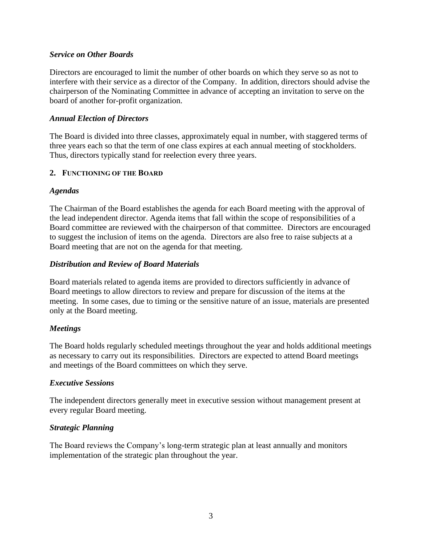### *Service on Other Boards*

Directors are encouraged to limit the number of other boards on which they serve so as not to interfere with their service as a director of the Company. In addition, directors should advise the chairperson of the Nominating Committee in advance of accepting an invitation to serve on the board of another for-profit organization.

### *Annual Election of Directors*

The Board is divided into three classes, approximately equal in number, with staggered terms of three years each so that the term of one class expires at each annual meeting of stockholders. Thus, directors typically stand for reelection every three years.

### **2. FUNCTIONING OF THE BOARD**

### *Agendas*

The Chairman of the Board establishes the agenda for each Board meeting with the approval of the lead independent director. Agenda items that fall within the scope of responsibilities of a Board committee are reviewed with the chairperson of that committee. Directors are encouraged to suggest the inclusion of items on the agenda. Directors are also free to raise subjects at a Board meeting that are not on the agenda for that meeting.

# *Distribution and Review of Board Materials*

Board materials related to agenda items are provided to directors sufficiently in advance of Board meetings to allow directors to review and prepare for discussion of the items at the meeting. In some cases, due to timing or the sensitive nature of an issue, materials are presented only at the Board meeting.

# *Meetings*

The Board holds regularly scheduled meetings throughout the year and holds additional meetings as necessary to carry out its responsibilities. Directors are expected to attend Board meetings and meetings of the Board committees on which they serve.

### *Executive Sessions*

The independent directors generally meet in executive session without management present at every regular Board meeting.

# *Strategic Planning*

The Board reviews the Company's long-term strategic plan at least annually and monitors implementation of the strategic plan throughout the year.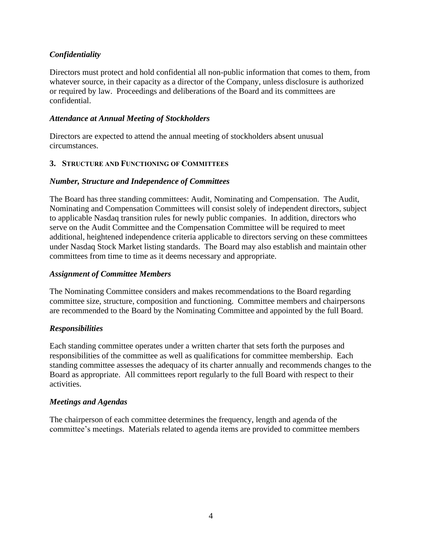# *Confidentiality*

Directors must protect and hold confidential all non-public information that comes to them, from whatever source, in their capacity as a director of the Company, unless disclosure is authorized or required by law. Proceedings and deliberations of the Board and its committees are confidential.

## *Attendance at Annual Meeting of Stockholders*

Directors are expected to attend the annual meeting of stockholders absent unusual circumstances.

# **3. STRUCTURE AND FUNCTIONING OF COMMITTEES**

### *Number, Structure and Independence of Committees*

The Board has three standing committees: Audit, Nominating and Compensation. The Audit, Nominating and Compensation Committees will consist solely of independent directors, subject to applicable Nasdaq transition rules for newly public companies. In addition, directors who serve on the Audit Committee and the Compensation Committee will be required to meet additional, heightened independence criteria applicable to directors serving on these committees under Nasdaq Stock Market listing standards. The Board may also establish and maintain other committees from time to time as it deems necessary and appropriate.

### *Assignment of Committee Members*

The Nominating Committee considers and makes recommendations to the Board regarding committee size, structure, composition and functioning. Committee members and chairpersons are recommended to the Board by the Nominating Committee and appointed by the full Board.

# *Responsibilities*

Each standing committee operates under a written charter that sets forth the purposes and responsibilities of the committee as well as qualifications for committee membership. Each standing committee assesses the adequacy of its charter annually and recommends changes to the Board as appropriate. All committees report regularly to the full Board with respect to their activities.

# *Meetings and Agendas*

The chairperson of each committee determines the frequency, length and agenda of the committee's meetings. Materials related to agenda items are provided to committee members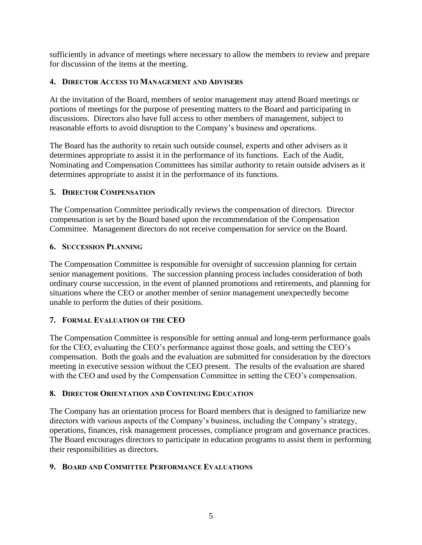sufficiently in advance of meetings where necessary to allow the members to review and prepare for discussion of the items at the meeting.

# **4. DIRECTOR ACCESS TO MANAGEMENT AND ADVISERS**

At the invitation of the Board, members of senior management may attend Board meetings or portions of meetings for the purpose of presenting matters to the Board and participating in discussions. Directors also have full access to other members of management, subject to reasonable efforts to avoid disruption to the Company's business and operations.

The Board has the authority to retain such outside counsel, experts and other advisers as it determines appropriate to assist it in the performance of its functions. Each of the Audit, Nominating and Compensation Committees has similar authority to retain outside advisers as it determines appropriate to assist it in the performance of its functions.

# **5. DIRECTOR COMPENSATION**

The Compensation Committee periodically reviews the compensation of directors. Director compensation is set by the Board based upon the recommendation of the Compensation Committee. Management directors do not receive compensation for service on the Board.

# **6. SUCCESSION PLANNING**

The Compensation Committee is responsible for oversight of succession planning for certain senior management positions. The succession planning process includes consideration of both ordinary course succession, in the event of planned promotions and retirements, and planning for situations where the CEO or another member of senior management unexpectedly become unable to perform the duties of their positions.

# **7. FORMAL EVALUATION OF THE CEO**

The Compensation Committee is responsible for setting annual and long-term performance goals for the CEO, evaluating the CEO's performance against those goals, and setting the CEO's compensation. Both the goals and the evaluation are submitted for consideration by the directors meeting in executive session without the CEO present. The results of the evaluation are shared with the CEO and used by the Compensation Committee in setting the CEO's compensation.

# **8. DIRECTOR ORIENTATION AND CONTINUING EDUCATION**

The Company has an orientation process for Board members that is designed to familiarize new directors with various aspects of the Company's business, including the Company's strategy, operations, finances, risk management processes, compliance program and governance practices. The Board encourages directors to participate in education programs to assist them in performing their responsibilities as directors.

# **9. BOARD AND COMMITTEE PERFORMANCE EVALUATIONS**